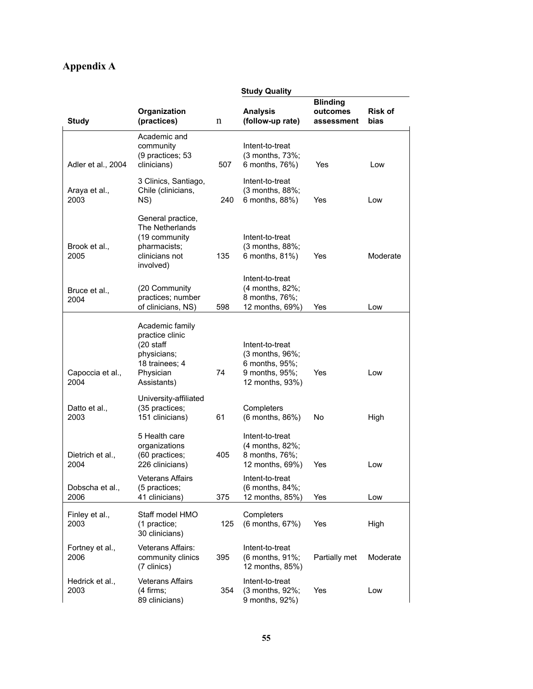## **Appendix A**

|                          | <b>Study Quality</b>                                                                                           |     |                                                                                           |                                           |                        |
|--------------------------|----------------------------------------------------------------------------------------------------------------|-----|-------------------------------------------------------------------------------------------|-------------------------------------------|------------------------|
| <b>Study</b>             | Organization<br>(practices)                                                                                    | n   | <b>Analysis</b><br>(follow-up rate)                                                       | <b>Blinding</b><br>outcomes<br>assessment | <b>Risk of</b><br>bias |
| Adler et al., 2004       | Academic and<br>community<br>(9 practices; 53<br>clinicians)                                                   | 507 | Intent-to-treat<br>(3 months, 73%;<br>6 months, 76%)                                      | Yes                                       | Low                    |
| Araya et al.,<br>2003    | 3 Clinics, Santiago,<br>Chile (clinicians,<br>NS)                                                              | 240 | Intent-to-treat<br>(3 months, 88%;<br>6 months, 88%)                                      | Yes                                       | Low                    |
| Brook et al.,<br>2005    | General practice,<br>The Netherlands<br>(19 community<br>pharmacists;<br>clinicians not<br>involved)           | 135 | Intent-to-treat<br>(3 months, 88%;<br>6 months, 81%)                                      | Yes                                       | Moderate               |
| Bruce et al.,<br>2004    | (20 Community<br>practices; number<br>of clinicians, NS)                                                       | 598 | Intent-to-treat<br>(4 months, 82%;<br>8 months, 76%;<br>12 months, 69%)                   | Yes                                       | Low                    |
| Capoccia et al.,<br>2004 | Academic family<br>practice clinic<br>$(20$ staff<br>physicians;<br>18 trainees; 4<br>Physician<br>Assistants) | 74  | Intent-to-treat<br>(3 months, 96%;<br>6 months, 95%;<br>9 months, 95%;<br>12 months, 93%) | Yes                                       | Low                    |
| Datto et al.,<br>2003    | University-affiliated<br>(35 practices;<br>151 clinicians)                                                     | 61  | Completers<br>(6 months, 86%)                                                             | No                                        | High                   |
| Dietrich et al.,<br>2004 | 5 Health care<br>organizations<br>(60 practices;<br>226 clinicians)                                            | 405 | Intent-to-treat<br>(4 months, 82%;<br>8 months, 76%;<br>12 months, 69%)                   | Yes                                       | Low                    |
| Dobscha et al.,<br>2006  | <b>Veterans Affairs</b><br>(5 practices;<br>41 clinicians)                                                     | 375 | Intent-to-treat<br>(6 months, 84%;<br>12 months, 85%)                                     | Yes                                       | Low                    |
| Finley et al.,<br>2003   | Staff model HMO<br>(1 practice;<br>30 clinicians)                                                              | 125 | Completers<br>(6 months, 67%)                                                             | Yes                                       | High                   |
| Fortney et al.,<br>2006  | Veterans Affairs:<br>community clinics<br>(7 clinics)                                                          | 395 | Intent-to-treat<br>(6 months, 91%;<br>12 months, 85%)                                     | Partially met                             | Moderate               |
| Hedrick et al.,<br>2003  | <b>Veterans Affairs</b><br>(4 firms;<br>89 clinicians)                                                         | 354 | Intent-to-treat<br>(3 months, 92%;<br>9 months, 92%)                                      | Yes                                       | Low                    |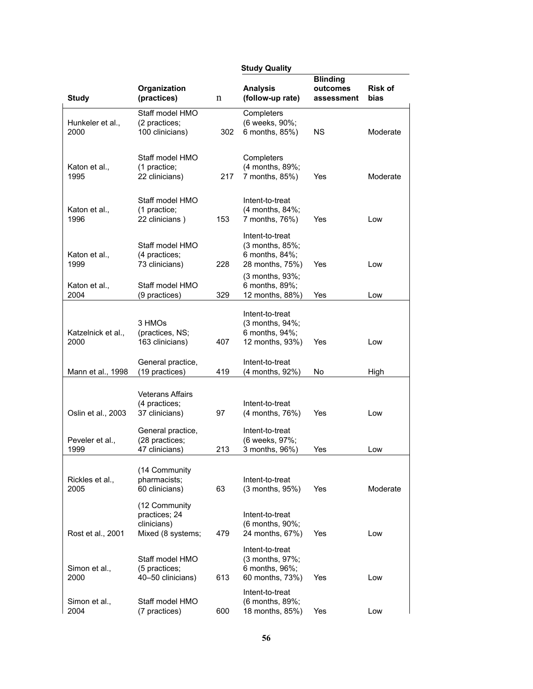|                            |                                                                                 |     | <b>Study Quality</b>                                                                             |                                           |                        |
|----------------------------|---------------------------------------------------------------------------------|-----|--------------------------------------------------------------------------------------------------|-------------------------------------------|------------------------|
| <b>Study</b>               | Organization<br>(practices)                                                     | n   | <b>Analysis</b><br>(follow-up rate)                                                              | <b>Blinding</b><br>outcomes<br>assessment | <b>Risk of</b><br>bias |
| Hunkeler et al.,<br>2000   | Staff model HMO<br>(2 practices;<br>100 clinicians)                             | 302 | Completers<br>(6 weeks, 90%;<br>6 months, 85%)                                                   | <b>NS</b>                                 | Moderate               |
| Katon et al.,<br>1995      | Staff model HMO<br>(1 practice;<br>22 clinicians)                               | 217 | Completers<br>(4 months, 89%;<br>7 months, 85%)                                                  | Yes                                       | Moderate               |
| Katon et al.,<br>1996      | Staff model HMO<br>(1 practice;<br>22 clinicians)                               | 153 | Intent-to-treat<br>(4 months, 84%;<br>7 months, 76%)                                             | Yes                                       | Low                    |
| Katon et al.,<br>1999      | Staff model HMO<br>(4 practices;<br>73 clinicians)                              | 228 | Intent-to-treat<br>$(3$ months, $85\%$ ;<br>6 months, 84%;<br>28 months, 75%)<br>(3 months, 93%; | Yes                                       | Low                    |
| Katon et al.,<br>2004      | Staff model HMO<br>(9 practices)                                                | 329 | 6 months, 89%;<br>12 months, 88%)                                                                | Yes                                       | Low                    |
| Katzelnick et al.,<br>2000 | 3 HMOs<br>(practices, NS;<br>163 clinicians)                                    | 407 | Intent-to-treat<br>(3 months, 94%;<br>6 months, 94%;<br>12 months, 93%)                          | Yes                                       | Low                    |
| Mann et al., 1998          | General practice,<br>(19 practices)                                             | 419 | Intent-to-treat<br>(4 months, 92%)                                                               | No                                        | High                   |
| Oslin et al., 2003         | <b>Veterans Affairs</b><br>(4 practices;<br>37 clinicians)<br>General practice, | 97  | Intent-to-treat<br>(4 months, 76%)<br>Intent-to-treat                                            | Yes                                       | Low                    |
| Peveler et al.,<br>1999    | (28 practices;<br>47 clinicians)                                                | 213 | (6 weeks, 97%;<br>3 months, 96%)                                                                 | Yes                                       | Low                    |
| Rickles et al.,<br>2005    | (14 Community<br>pharmacists;<br>60 clinicians)                                 | 63  | Intent-to-treat<br>$(3$ months, $95\%)$                                                          | Yes                                       | Moderate               |
| Rost et al., 2001          | (12 Community<br>practices; 24<br>clinicians)<br>Mixed (8 systems;              | 479 | Intent-to-treat<br>(6 months, 90%;<br>24 months, 67%)                                            | Yes                                       | Low                    |
| Simon et al.,<br>2000      | Staff model HMO<br>(5 practices;<br>40-50 clinicians)                           | 613 | Intent-to-treat<br>(3 months, 97%;<br>6 months, 96%;<br>60 months, 73%)                          | Yes                                       | Low                    |
| Simon et al.,<br>2004      | Staff model HMO<br>(7 practices)                                                | 600 | Intent-to-treat<br>(6 months, 89%;<br>18 months, 85%)                                            | Yes                                       | Low                    |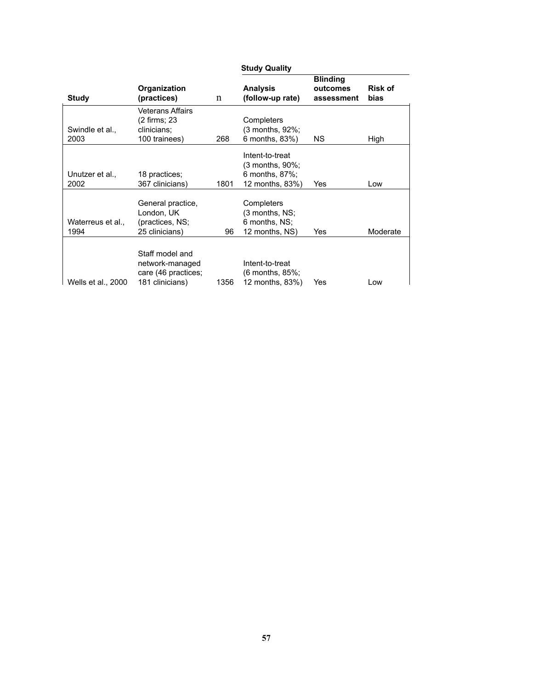|                           |                                                                              |      | <b>Study Quality</b>                                                          |                                           |                        |
|---------------------------|------------------------------------------------------------------------------|------|-------------------------------------------------------------------------------|-------------------------------------------|------------------------|
| Study                     | Organization<br>(practices)                                                  | n    | <b>Analysis</b><br>(follow-up rate)                                           | <b>Blinding</b><br>outcomes<br>assessment | <b>Risk of</b><br>bias |
| Swindle et al.,<br>2003   | Veterans Affairs<br>(2 firms; 23<br>clinicians;<br>100 trainees)             | 268  | Completers<br>(3 months, 92%;<br>6 months, 83%)                               | NS.                                       | High                   |
| Unutzer et al.,<br>2002   | 18 practices;<br>367 clinicians)                                             | 1801 | Intent-to-treat<br>$(3$ months, $90\%$ ;<br>6 months, 87%;<br>12 months, 83%) | Yes                                       | Low                    |
| Waterreus et al.,<br>1994 | General practice,<br>London, UK<br>(practices, NS;<br>25 clinicians)         | 96   | Completers<br>(3 months, NS;<br>6 months, NS;<br>12 months, NS)               | Yes                                       | Moderate               |
| Wells et al., 2000        | Staff model and<br>network-managed<br>care (46 practices;<br>181 clinicians) | 1356 | Intent-to-treat<br>$(6$ months, $85\%$ ;<br>12 months, 83%)                   | Yes                                       | Low                    |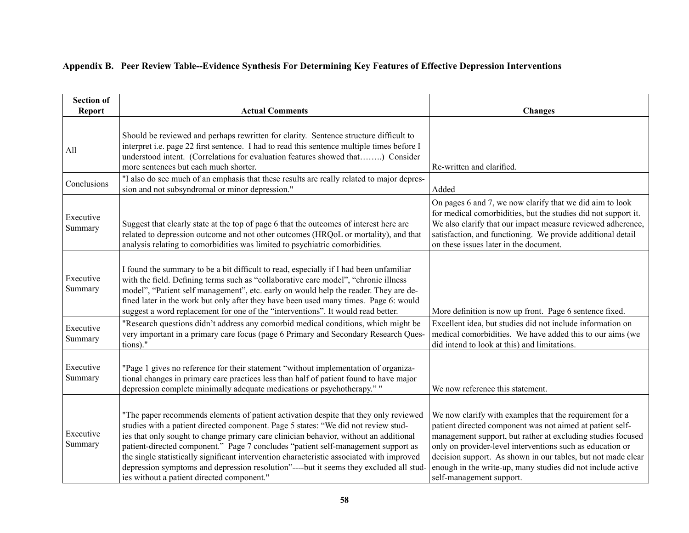## **Appendix B. Peer Review Table--Evidence Synthesis For Determining Key Features of Effective Depression Interventions**

| <b>Section of</b><br><b>Report</b> | <b>Actual Comments</b>                                                                                                                                                                                                                                                                                                                                                                                                                                                                                                                                                                        | <b>Changes</b>                                                                                                                                                                                                                                                                                                                                                                                              |
|------------------------------------|-----------------------------------------------------------------------------------------------------------------------------------------------------------------------------------------------------------------------------------------------------------------------------------------------------------------------------------------------------------------------------------------------------------------------------------------------------------------------------------------------------------------------------------------------------------------------------------------------|-------------------------------------------------------------------------------------------------------------------------------------------------------------------------------------------------------------------------------------------------------------------------------------------------------------------------------------------------------------------------------------------------------------|
|                                    |                                                                                                                                                                                                                                                                                                                                                                                                                                                                                                                                                                                               |                                                                                                                                                                                                                                                                                                                                                                                                             |
| All                                | Should be reviewed and perhaps rewritten for clarity. Sentence structure difficult to<br>interpret i.e. page 22 first sentence. I had to read this sentence multiple times before I<br>understood intent. (Correlations for evaluation features showed that) Consider<br>more sentences but each much shorter.                                                                                                                                                                                                                                                                                | Re-written and clarified.                                                                                                                                                                                                                                                                                                                                                                                   |
| Conclusions                        | "I also do see much of an emphasis that these results are really related to major depres-<br>sion and not subsyndromal or minor depression."                                                                                                                                                                                                                                                                                                                                                                                                                                                  | Added                                                                                                                                                                                                                                                                                                                                                                                                       |
| Executive<br>Summary               | Suggest that clearly state at the top of page 6 that the outcomes of interest here are<br>related to depression outcome and not other outcomes (HRQoL or mortality), and that<br>analysis relating to comorbidities was limited to psychiatric comorbidities.                                                                                                                                                                                                                                                                                                                                 | On pages 6 and 7, we now clarify that we did aim to look<br>for medical comorbidities, but the studies did not support it.<br>We also clarify that our impact measure reviewed adherence,<br>satisfaction, and functioning. We provide additional detail<br>on these issues later in the document.                                                                                                          |
| Executive<br>Summary               | I found the summary to be a bit difficult to read, especially if I had been unfamiliar<br>with the field. Defining terms such as "collaborative care model", "chronic illness<br>model", "Patient self management", etc. early on would help the reader. They are de-<br>fined later in the work but only after they have been used many times. Page 6: would<br>suggest a word replacement for one of the "interventions". It would read better.                                                                                                                                             | More definition is now up front. Page 6 sentence fixed.                                                                                                                                                                                                                                                                                                                                                     |
| Executive<br>Summary               | "Research questions didn't address any comorbid medical conditions, which might be<br>very important in a primary care focus (page 6 Primary and Secondary Research Ques-<br>tions)."                                                                                                                                                                                                                                                                                                                                                                                                         | Excellent idea, but studies did not include information on<br>medical comorbidities. We have added this to our aims (we<br>did intend to look at this) and limitations.                                                                                                                                                                                                                                     |
| Executive<br>Summary               | "Page 1 gives no reference for their statement "without implementation of organiza-<br>tional changes in primary care practices less than half of patient found to have major<br>depression complete minimally adequate medications or psychotherapy." "                                                                                                                                                                                                                                                                                                                                      | We now reference this statement.                                                                                                                                                                                                                                                                                                                                                                            |
| Executive<br>Summary               | "The paper recommends elements of patient activation despite that they only reviewed<br>studies with a patient directed component. Page 5 states: "We did not review stud-<br>ies that only sought to change primary care clinician behavior, without an additional<br>patient-directed component." Page 7 concludes "patient self-management support as<br>the single statistically significant intervention characteristic associated with improved<br>depression symptoms and depression resolution"----but it seems they excluded all stud-<br>ies without a patient directed component." | We now clarify with examples that the requirement for a<br>patient directed component was not aimed at patient self-<br>management support, but rather at excluding studies focused<br>only on provider-level interventions such as education or<br>decision support. As shown in our tables, but not made clear<br>enough in the write-up, many studies did not include active<br>self-management support. |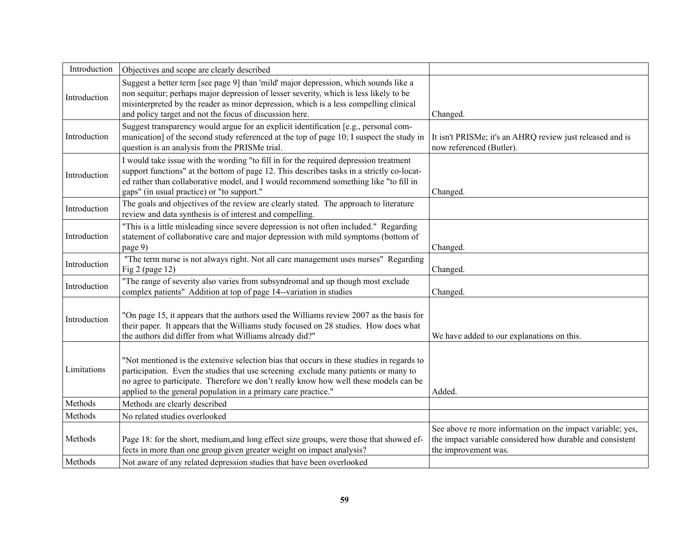| Introduction       | Objectives and scope are clearly described                                                                                                                                                                                                                                                                                                 |                                                                                                                                                 |
|--------------------|--------------------------------------------------------------------------------------------------------------------------------------------------------------------------------------------------------------------------------------------------------------------------------------------------------------------------------------------|-------------------------------------------------------------------------------------------------------------------------------------------------|
| Introduction       | Suggest a better term [see page 9] than 'mild' major depression, which sounds like a<br>non sequitur; perhaps major depression of lesser severity, which is less likely to be<br>misinterpreted by the reader as minor depression, which is a less compelling clinical<br>and policy target and not the focus of discussion here.          | Changed.                                                                                                                                        |
| Introduction       | Suggest transparency would argue for an explicit identification [e.g., personal com-<br>munication] of the second study referenced at the top of page 10; I suspect the study in<br>question is an analysis from the PRISMe trial.                                                                                                         | It isn't PRISMe; it's an AHRQ review just released and is<br>now referenced (Butler).                                                           |
| Introduction       | I would take issue with the wording "to fill in for the required depression treatment<br>support functions" at the bottom of page 12. This describes tasks in a strictly co-locat-<br>ed rather than collaborative model, and I would recommend something like "to fill in<br>gaps" (in usual practice) or "to support."                   | Changed.                                                                                                                                        |
| Introduction       | The goals and objectives of the review are clearly stated. The approach to literature<br>review and data synthesis is of interest and compelling.                                                                                                                                                                                          |                                                                                                                                                 |
| Introduction       | "This is a little misleading since severe depression is not often included." Regarding<br>statement of collaborative care and major depression with mild symptoms (bottom of<br>page 9)                                                                                                                                                    | Changed.                                                                                                                                        |
| Introduction       | "The term nurse is not always right. Not all care management uses nurses" Regarding<br>Fig $2$ (page 12)                                                                                                                                                                                                                                   | Changed.                                                                                                                                        |
| Introduction       | "The range of severity also varies from subsyndromal and up though most exclude<br>complex patients" Addition at top of page 14--variation in studies                                                                                                                                                                                      | Changed.                                                                                                                                        |
| Introduction       | "On page 15, it appears that the authors used the Williams review 2007 as the basis for<br>their paper. It appears that the Williams study focused on 28 studies. How does what<br>the authors did differ from what Williams already did?"                                                                                                 | We have added to our explanations on this.                                                                                                      |
| Limitations        | "Not mentioned is the extensive selection bias that occurs in these studies in regards to<br>participation. Even the studies that use screening exclude many patients or many to<br>no agree to participate. Therefore we don't really know how well these models can be<br>applied to the general population in a primary care practice." | Added.                                                                                                                                          |
| Methods            | Methods are clearly described                                                                                                                                                                                                                                                                                                              |                                                                                                                                                 |
| Methods            | No related studies overlooked                                                                                                                                                                                                                                                                                                              |                                                                                                                                                 |
| Methods<br>Methods | Page 18: for the short, medium, and long effect size groups, were those that showed ef-<br>fects in more than one group given greater weight on impact analysis?<br>Not aware of any related depression studies that have been overlooked                                                                                                  | See above re more information on the impact variable; yes,<br>the impact variable considered how durable and consistent<br>the improvement was. |
|                    |                                                                                                                                                                                                                                                                                                                                            |                                                                                                                                                 |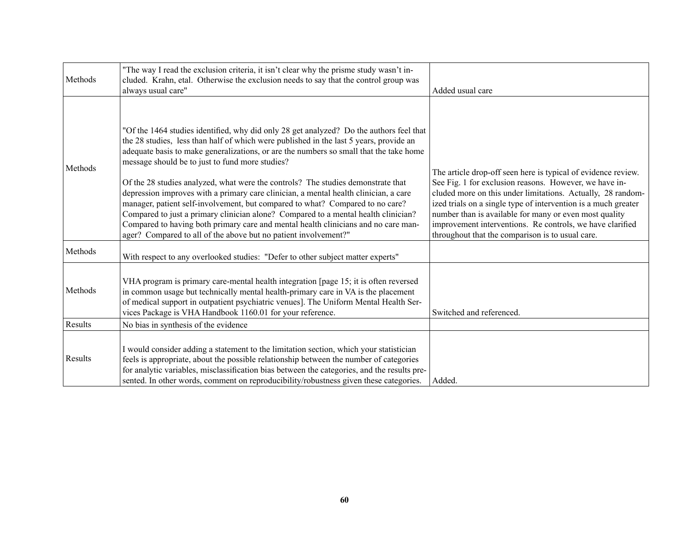| Methods | "The way I read the exclusion criteria, it isn't clear why the prisme study wasn't in-<br>cluded. Krahn, etal. Otherwise the exclusion needs to say that the control group was<br>always usual care"                                                                                                                                                                                                                                                                                                                                                                                                                                                                                                                                                                                                                                       | Added usual care                                                                                                                                                                                                                                                                                                                                                                                                                    |
|---------|--------------------------------------------------------------------------------------------------------------------------------------------------------------------------------------------------------------------------------------------------------------------------------------------------------------------------------------------------------------------------------------------------------------------------------------------------------------------------------------------------------------------------------------------------------------------------------------------------------------------------------------------------------------------------------------------------------------------------------------------------------------------------------------------------------------------------------------------|-------------------------------------------------------------------------------------------------------------------------------------------------------------------------------------------------------------------------------------------------------------------------------------------------------------------------------------------------------------------------------------------------------------------------------------|
| Methods | "Of the 1464 studies identified, why did only 28 get analyzed? Do the authors feel that<br>the 28 studies, less than half of which were published in the last 5 years, provide an<br>adequate basis to make generalizations, or are the numbers so small that the take home<br>message should be to just to fund more studies?<br>Of the 28 studies analyzed, what were the controls? The studies demonstrate that<br>depression improves with a primary care clinician, a mental health clinician, a care<br>manager, patient self-involvement, but compared to what? Compared to no care?<br>Compared to just a primary clinician alone? Compared to a mental health clinician?<br>Compared to having both primary care and mental health clinicians and no care man-<br>ager? Compared to all of the above but no patient involvement?" | The article drop-off seen here is typical of evidence review.<br>See Fig. 1 for exclusion reasons. However, we have in-<br>cluded more on this under limitations. Actually, 28 random-<br>ized trials on a single type of intervention is a much greater<br>number than is available for many or even most quality<br>improvement interventions. Re controls, we have clarified<br>throughout that the comparison is to usual care. |
| Methods | With respect to any overlooked studies: "Defer to other subject matter experts"                                                                                                                                                                                                                                                                                                                                                                                                                                                                                                                                                                                                                                                                                                                                                            |                                                                                                                                                                                                                                                                                                                                                                                                                                     |
| Methods | VHA program is primary care-mental health integration [page 15; it is often reversed<br>in common usage but technically mental health-primary care in VA is the placement<br>of medical support in outpatient psychiatric venues]. The Uniform Mental Health Ser-<br>vices Package is VHA Handbook 1160.01 for your reference.                                                                                                                                                                                                                                                                                                                                                                                                                                                                                                             | Switched and referenced.                                                                                                                                                                                                                                                                                                                                                                                                            |
| Results | No bias in synthesis of the evidence                                                                                                                                                                                                                                                                                                                                                                                                                                                                                                                                                                                                                                                                                                                                                                                                       |                                                                                                                                                                                                                                                                                                                                                                                                                                     |
| Results | I would consider adding a statement to the limitation section, which your statistician<br>feels is appropriate, about the possible relationship between the number of categories<br>for analytic variables, misclassification bias between the categories, and the results pre-<br>sented. In other words, comment on reproducibility/robustness given these categories.                                                                                                                                                                                                                                                                                                                                                                                                                                                                   | Added.                                                                                                                                                                                                                                                                                                                                                                                                                              |